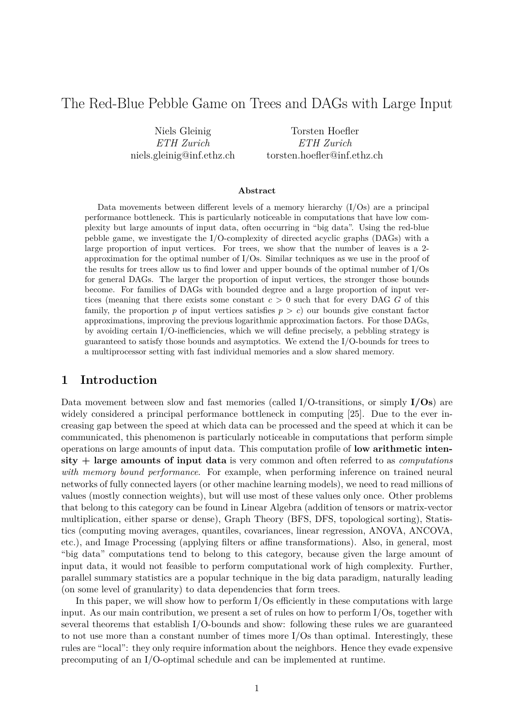# The Red-Blue Pebble Game on Trees and DAGs with Large Input

Niels Gleinig *ETH Zurich* niels.gleinig@inf.ethz.ch

Torsten Hoefler *ETH Zurich* torsten.hoefler@inf.ethz.ch

#### **Abstract**

Data movements between different levels of a memory hierarchy  $(I/Os)$  are a principal performance bottleneck. This is particularly noticeable in computations that have low complexity but large amounts of input data, often occurring in "big data". Using the red-blue pebble game, we investigate the I/O-complexity of directed acyclic graphs (DAGs) with a large proportion of input vertices. For trees, we show that the number of leaves is a 2 approximation for the optimal number of I/Os. Similar techniques as we use in the proof of the results for trees allow us to find lower and upper bounds of the optimal number of I/Os for general DAGs. The larger the proportion of input vertices, the stronger those bounds become. For families of DAGs with bounded degree and a large proportion of input vertices (meaning that there exists some constant  $c > 0$  such that for every DAG *G* of this family, the proportion  $p$  of input vertices satisfies  $p > c$ ) our bounds give constant factor approximations, improving the previous logarithmic approximation factors. For those DAGs, by avoiding certain I/O-inefficiencies, which we will define precisely, a pebbling strategy is guaranteed to satisfy those bounds and asymptotics. We extend the I/O-bounds for trees to a multiprocessor setting with fast individual memories and a slow shared memory.

#### **1 Introduction**

Data movement between slow and fast memories (called I/O-transitions, or simply **I/Os**) are widely considered a principal performance bottleneck in computing [25]. Due to the ever increasing gap between the speed at which data can be processed and the speed at which it can be communicated, this phenomenon is particularly noticeable in computations that perform simple operations on large amounts of input data. This computation profile of **low arithmetic intensity + large amounts of input data** is very common and often referred to as *computations with memory bound performance*. For example, when performing inference on trained neural networks of fully connected layers (or other machine learning models), we need to read millions of values (mostly connection weights), but will use most of these values only once. Other problems that belong to this category can be found in Linear Algebra (addition of tensors or matrix-vector multiplication, either sparse or dense), Graph Theory (BFS, DFS, topological sorting), Statistics (computing moving averages, quantiles, covariances, linear regression, ANOVA, ANCOVA, etc.), and Image Processing (applying filters or affine transformations). Also, in general, most "big data" computations tend to belong to this category, because given the large amount of input data, it would not feasible to perform computational work of high complexity. Further, parallel summary statistics are a popular technique in the big data paradigm, naturally leading (on some level of granularity) to data dependencies that form trees.

In this paper, we will show how to perform I/Os efficiently in these computations with large input. As our main contribution, we present a set of rules on how to perform I/Os, together with several theorems that establish I/O-bounds and show: following these rules we are guaranteed to not use more than a constant number of times more  $I/Os$  than optimal. Interestingly, these rules are "local": they only require information about the neighbors. Hence they evade expensive precomputing of an I/O-optimal schedule and can be implemented at runtime.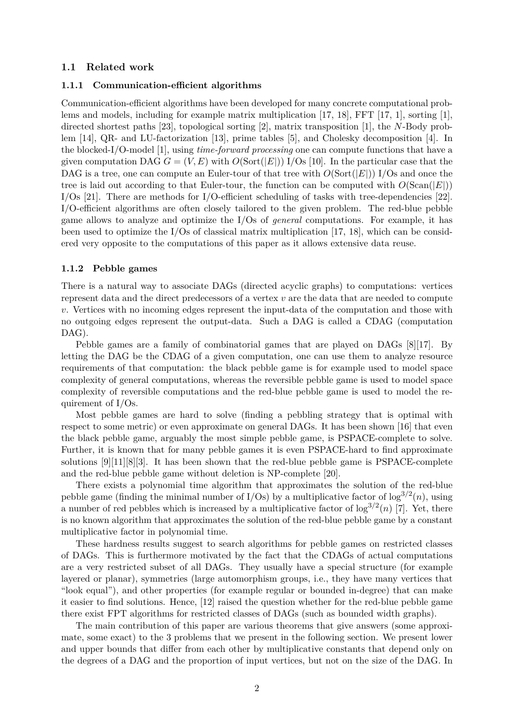#### **1.1 Related work**

#### **1.1.1 Communication-efficient algorithms**

Communication-efficient algorithms have been developed for many concrete computational problems and models, including for example matrix multiplication [17, 18], FFT [17, 1], sorting [1], directed shortest paths [23], topological sorting [2], matrix transposition [1], the *N*-Body problem [14], QR- and LU-factorization [13], prime tables [5], and Cholesky decomposition [4]. In the blocked-I/O-model [1], using *time-forward processing* one can compute functions that have a given computation DAG  $G = (V, E)$  with  $O(Sort(|E|))$  I/Os [10]. In the particular case that the DAG is a tree, one can compute an Euler-tour of that tree with  $O(Sort(|E|))$  I/Os and once the tree is laid out according to that Euler-tour, the function can be computed with  $O(Scan(|E|))$ I/Os [21]. There are methods for I/O-efficient scheduling of tasks with tree-dependencies [22]. I/O-efficient algorithms are often closely tailored to the given problem. The red-blue pebble game allows to analyze and optimize the I/Os of *general* computations. For example, it has been used to optimize the I/Os of classical matrix multiplication [17, 18], which can be considered very opposite to the computations of this paper as it allows extensive data reuse.

#### **1.1.2 Pebble games**

There is a natural way to associate DAGs (directed acyclic graphs) to computations: vertices represent data and the direct predecessors of a vertex *v* are the data that are needed to compute *v*. Vertices with no incoming edges represent the input-data of the computation and those with no outgoing edges represent the output-data. Such a DAG is called a CDAG (computation DAG).

Pebble games are a family of combinatorial games that are played on DAGs [8][17]. By letting the DAG be the CDAG of a given computation, one can use them to analyze resource requirements of that computation: the black pebble game is for example used to model space complexity of general computations, whereas the reversible pebble game is used to model space complexity of reversible computations and the red-blue pebble game is used to model the requirement of I/Os.

Most pebble games are hard to solve (finding a pebbling strategy that is optimal with respect to some metric) or even approximate on general DAGs. It has been shown [16] that even the black pebble game, arguably the most simple pebble game, is PSPACE-complete to solve. Further, it is known that for many pebble games it is even PSPACE-hard to find approximate solutions  $[9][11][8][3]$ . It has been shown that the red-blue pebble game is PSPACE-complete and the red-blue pebble game without deletion is NP-complete [20].

There exists a polynomial time algorithm that approximates the solution of the red-blue pebble game (finding the minimal number of  $I/Os$ ) by a multiplicative factor of  $log^{3/2}(n)$ , using a number of red pebbles which is increased by a multiplicative factor of  $\log^{3/2}(n)$  [7]. Yet, there is no known algorithm that approximates the solution of the red-blue pebble game by a constant multiplicative factor in polynomial time.

These hardness results suggest to search algorithms for pebble games on restricted classes of DAGs. This is furthermore motivated by the fact that the CDAGs of actual computations are a very restricted subset of all DAGs. They usually have a special structure (for example layered or planar), symmetries (large automorphism groups, i.e., they have many vertices that "look equal"), and other properties (for example regular or bounded in-degree) that can make it easier to find solutions. Hence, [12] raised the question whether for the red-blue pebble game there exist FPT algorithms for restricted classes of DAGs (such as bounded width graphs).

The main contribution of this paper are various theorems that give answers (some approximate, some exact) to the 3 problems that we present in the following section. We present lower and upper bounds that differ from each other by multiplicative constants that depend only on the degrees of a DAG and the proportion of input vertices, but not on the size of the DAG. In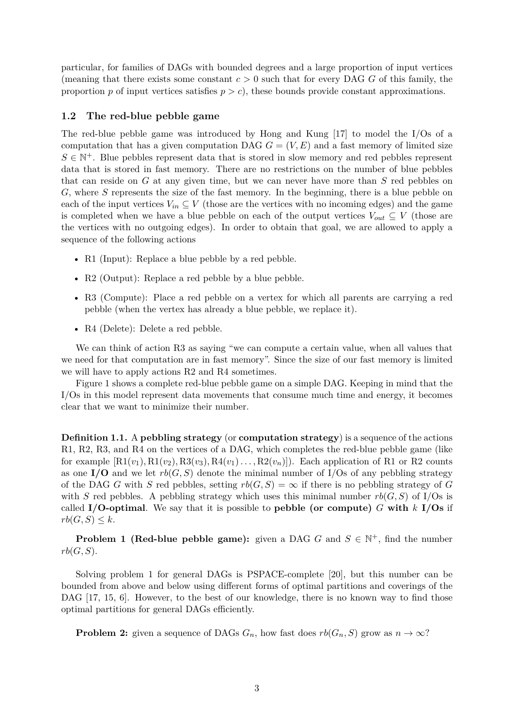particular, for families of DAGs with bounded degrees and a large proportion of input vertices (meaning that there exists some constant  $c > 0$  such that for every DAG *G* of this family, the proportion *p* of input vertices satisfies  $p > c$ , these bounds provide constant approximations.

#### **1.2 The red-blue pebble game**

The red-blue pebble game was introduced by Hong and Kung [17] to model the I/Os of a computation that has a given computation DAG  $G = (V, E)$  and a fast memory of limited size  $S \in \mathbb{N}^+$ . Blue pebbles represent data that is stored in slow memory and red pebbles represent data that is stored in fast memory. There are no restrictions on the number of blue pebbles that can reside on *G* at any given time, but we can never have more than *S* red pebbles on *G*, where *S* represents the size of the fast memory. In the beginning, there is a blue pebble on each of the input vertices  $V_{in} \subseteq V$  (those are the vertices with no incoming edges) and the game is completed when we have a blue pebble on each of the output vertices  $V_{out} \subseteq V$  (those are the vertices with no outgoing edges). In order to obtain that goal, we are allowed to apply a sequence of the following actions

- R1 (Input): Replace a blue pebble by a red pebble.
- R2 (Output): Replace a red pebble by a blue pebble.
- R3 (Compute): Place a red pebble on a vertex for which all parents are carrying a red pebble (when the vertex has already a blue pebble, we replace it).
- R4 (Delete): Delete a red pebble.

We can think of action R3 as saying "we can compute a certain value, when all values that we need for that computation are in fast memory". Since the size of our fast memory is limited we will have to apply actions R2 and R4 sometimes.

Figure 1 shows a complete red-blue pebble game on a simple DAG. Keeping in mind that the I/Os in this model represent data movements that consume much time and energy, it becomes clear that we want to minimize their number.

**Definition 1.1.** A **pebbling strategy** (or **computation strategy**) is a sequence of the actions R1, R2, R3, and R4 on the vertices of a DAG, which completes the red-blue pebble game (like for example  $[R1(v_1), R1(v_2), R3(v_3), R4(v_1), \ldots, R2(v_n)]$ . Each application of R1 or R2 counts as one  $I/O$  and we let  $rb(G, S)$  denote the minimal number of  $I/Os$  of any pebbling strategy of the DAG *G* with *S* red pebbles, setting  $rb(G, S) = \infty$  if there is no pebbling strategy of *G* with *S* red pebbles. A pebbling strategy which uses this minimal number  $rb(G, S)$  of I/Os is called **I/O-optimal**. We say that it is possible to **pebble (or compute)** *G* with  $k$  **I/Os** if  $rb(G, S) \leq k$ .

**Problem 1 (Red-blue pebble game):** given a DAG  $G$  and  $S \in \mathbb{N}^+$ , find the number *rb*(*G, S*).

Solving problem 1 for general DAGs is PSPACE-complete [20], but this number can be bounded from above and below using different forms of optimal partitions and coverings of the DAG [17, 15, 6]. However, to the best of our knowledge, there is no known way to find those optimal partitions for general DAGs efficiently.

**Problem 2:** given a sequence of DAGs  $G_n$ , how fast does  $rb(G_n, S)$  grow as  $n \to \infty$ ?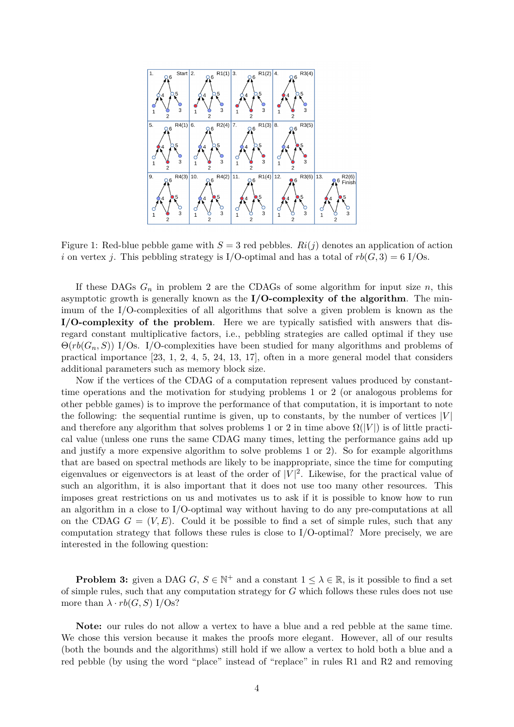

Figure 1: Red-blue pebble game with  $S = 3$  red pebbles.  $Ri(j)$  denotes an application of action *i* on vertex *j*. This pebbling strategy is I/O-optimal and has a total of  $rb(G, 3) = 6$  I/Os.

If these DAGs  $G_n$  in problem 2 are the CDAGs of some algorithm for input size  $n$ , this asymptotic growth is generally known as the **I/O-complexity of the algorithm**. The minimum of the I/O-complexities of all algorithms that solve a given problem is known as the **I/O-complexity of the problem**. Here we are typically satisfied with answers that disregard constant multiplicative factors, i.e., pebbling strategies are called optimal if they use  $\Theta(rb(G_n, S))$  I/Os. I/O-complexities have been studied for many algorithms and problems of practical importance [23, 1, 2, 4, 5, 24, 13, 17], often in a more general model that considers additional parameters such as memory block size.

Now if the vertices of the CDAG of a computation represent values produced by constanttime operations and the motivation for studying problems 1 or 2 (or analogous problems for other pebble games) is to improve the performance of that computation, it is important to note the following: the sequential runtime is given, up to constants, by the number of vertices  $|V|$ and therefore any algorithm that solves problems 1 or 2 in time above  $\Omega(|V|)$  is of little practical value (unless one runs the same CDAG many times, letting the performance gains add up and justify a more expensive algorithm to solve problems 1 or 2). So for example algorithms that are based on spectral methods are likely to be inappropriate, since the time for computing eigenvalues or eigenvectors is at least of the order of  $|V|^2$ . Likewise, for the practical value of such an algorithm, it is also important that it does not use too many other resources. This imposes great restrictions on us and motivates us to ask if it is possible to know how to run an algorithm in a close to I/O-optimal way without having to do any pre-computations at all on the CDAG  $G = (V, E)$ . Could it be possible to find a set of simple rules, such that any computation strategy that follows these rules is close to I/O-optimal? More precisely, we are interested in the following question:

**Problem 3:** given a DAG  $G, S \in \mathbb{N}^+$  and a constant  $1 \leq \lambda \in \mathbb{R}$ , is it possible to find a set of simple rules, such that any computation strategy for *G* which follows these rules does not use more than  $\lambda \cdot rb(G, S)$  I/Os?

**Note:** our rules do not allow a vertex to have a blue and a red pebble at the same time. We chose this version because it makes the proofs more elegant. However, all of our results (both the bounds and the algorithms) still hold if we allow a vertex to hold both a blue and a red pebble (by using the word "place" instead of "replace" in rules R1 and R2 and removing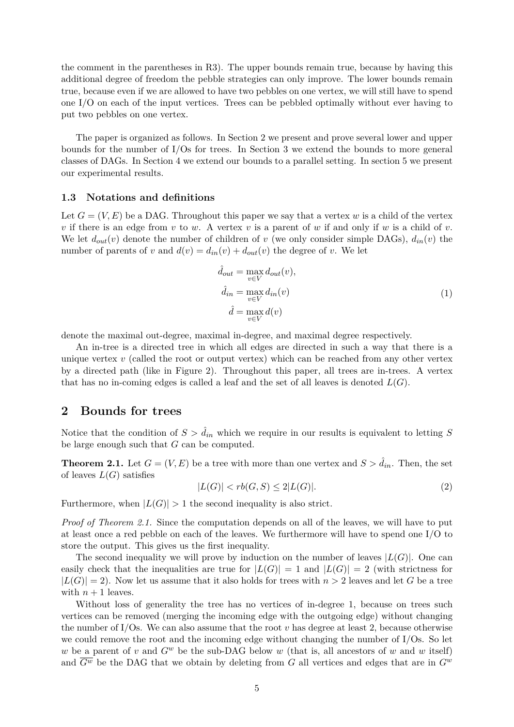the comment in the parentheses in R3). The upper bounds remain true, because by having this additional degree of freedom the pebble strategies can only improve. The lower bounds remain true, because even if we are allowed to have two pebbles on one vertex, we will still have to spend one I/O on each of the input vertices. Trees can be pebbled optimally without ever having to put two pebbles on one vertex.

The paper is organized as follows. In Section 2 we present and prove several lower and upper bounds for the number of I/Os for trees. In Section 3 we extend the bounds to more general classes of DAGs. In Section 4 we extend our bounds to a parallel setting. In section 5 we present our experimental results.

#### **1.3 Notations and definitions**

Let  $G = (V, E)$  be a DAG. Throughout this paper we say that a vertex *w* is a child of the vertex *v* if there is an edge from *v* to *w*. A vertex *v* is a parent of *w* if and only if *w* is a child of *v*. We let  $d_{out}(v)$  denote the number of children of v (we only consider simple DAGs),  $d_{in}(v)$  the number of parents of *v* and  $d(v) = d_{in}(v) + d_{out}(v)$  the degree of *v*. We let

$$
\hat{d}_{out} = \max_{v \in V} d_{out}(v),
$$
\n
$$
\hat{d}_{in} = \max_{v \in V} d_{in}(v)
$$
\n
$$
\hat{d} = \max_{v \in V} d(v)
$$
\n(1)

denote the maximal out-degree, maximal in-degree, and maximal degree respectively.

An in-tree is a directed tree in which all edges are directed in such a way that there is a unique vertex *v* (called the root or output vertex) which can be reached from any other vertex by a directed path (like in Figure 2). Throughout this paper, all trees are in-trees. A vertex that has no in-coming edges is called a leaf and the set of all leaves is denoted  $L(G)$ .

#### **2 Bounds for trees**

Notice that the condition of  $S > d_{in}$  which we require in our results is equivalent to letting *S* be large enough such that *G* can be computed.

**Theorem 2.1.** Let  $G = (V, E)$  be a tree with more than one vertex and  $S > d_{in}$ . Then, the set of leaves  $L(G)$  satisfies

$$
|L(G)| < rb(G, S) \le 2|L(G)|. \tag{2}
$$

Furthermore, when  $|L(G)| > 1$  the second inequality is also strict.

*Proof of Theorem 2.1.* Since the computation depends on all of the leaves, we will have to put at least once a red pebble on each of the leaves. We furthermore will have to spend one I/O to store the output. This gives us the first inequality.

The second inequality we will prove by induction on the number of leaves  $|L(G)|$ . One can easily check that the inequalities are true for  $|L(G)| = 1$  and  $|L(G)| = 2$  (with strictness for  $|L(G)| = 2$ . Now let us assume that it also holds for trees with  $n > 2$  leaves and let *G* be a tree with  $n+1$  leaves.

Without loss of generality the tree has no vertices of in-degree 1, because on trees such vertices can be removed (merging the incoming edge with the outgoing edge) without changing the number of  $I/Os$ . We can also assume that the root  $v$  has degree at least 2, because otherwise we could remove the root and the incoming edge without changing the number of I/Os. So let *w* be a parent of *v* and  $G^w$  be the sub-DAG below *w* (that is, all ancestors of *w* and *w* itself) and  $\overline{G^w}$  be the DAG that we obtain by deleting from *G* all vertices and edges that are in  $G^w$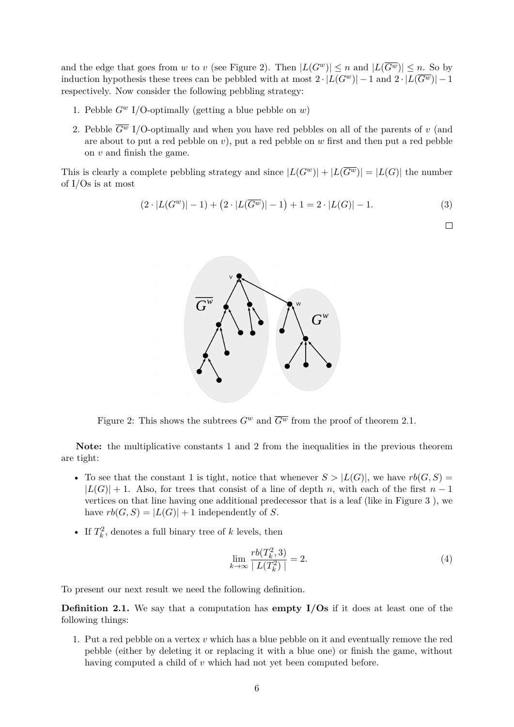and the edge that goes from *w* to *v* (see Figure 2). Then  $|L(G^w)| \le n$  and  $|L(\overline{G^w})| \le n$ . So by induction hypothesis these trees can be pebbled with at most  $2 \cdot |L(G^w)| - 1$  and  $2 \cdot |L(\overline{G^w})| - 1$ respectively. Now consider the following pebbling strategy:

- 1. Pebble  $G^w$  I/O-optimally (getting a blue pebble on *w*)
- 2. Pebble  $\overline{G^w}$  I/O-optimally and when you have red pebbles on all of the parents of *v* (and are about to put a red pebble on  $v$ ), put a red pebble on  $w$  first and then put a red pebble on *v* and finish the game.

This is clearly a complete pebbling strategy and since  $|L(G^w)| + |L(\overline{G^w})| = |L(G)|$  the number of I/Os is at most

$$
(2 \cdot |L(G^w)| - 1) + (2 \cdot |L(\overline{G^w})| - 1) + 1 = 2 \cdot |L(G)| - 1.
$$
 (3)

 $\Box$ 



Figure 2: This shows the subtrees  $G^w$  and  $\overline{G^w}$  from the proof of theorem 2.1.

**Note:** the multiplicative constants 1 and 2 from the inequalities in the previous theorem are tight:

- To see that the constant 1 is tight, notice that whenever  $S > |L(G)|$ , we have  $rb(G, S)$  $|L(G)| + 1$ . Also, for trees that consist of a line of depth *n*, with each of the first  $n-1$ vertices on that line having one additional predecessor that is a leaf (like in Figure 3 ), we have  $rb(G, S) = |L(G)| + 1$  independently of *S*.
- If  $T_k^2$ , denotes a full binary tree of  $k$  levels, then

$$
\lim_{k \to \infty} \frac{rb(T_k^2, 3)}{|L(T_k^2)|} = 2.
$$
\n(4)

To present our next result we need the following definition.

**Definition 2.1.** We say that a computation has **empty I/Os** if it does at least one of the following things:

1. Put a red pebble on a vertex *v* which has a blue pebble on it and eventually remove the red pebble (either by deleting it or replacing it with a blue one) or finish the game, without having computed a child of *v* which had not yet been computed before.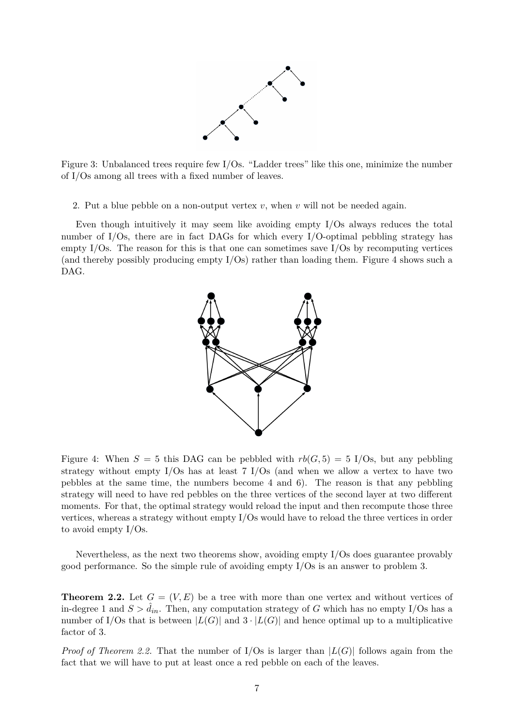

Figure 3: Unbalanced trees require few I/Os. "Ladder trees" like this one, minimize the number of I/Os among all trees with a fixed number of leaves.

2. Put a blue pebble on a non-output vertex *v*, when *v* will not be needed again.

Even though intuitively it may seem like avoiding empty I/Os always reduces the total number of I/Os, there are in fact DAGs for which every I/O-optimal pebbling strategy has empty  $I/Os$ . The reason for this is that one can sometimes save  $I/Os$  by recomputing vertices (and thereby possibly producing empty  $I/Os$ ) rather than loading them. Figure 4 shows such a DAG.



Figure 4: When  $S = 5$  this DAG can be pebbled with  $rb(G, 5) = 5$  I/Os, but any pebbling strategy without empty I/Os has at least 7 I/Os (and when we allow a vertex to have two pebbles at the same time, the numbers become 4 and 6). The reason is that any pebbling strategy will need to have red pebbles on the three vertices of the second layer at two different moments. For that, the optimal strategy would reload the input and then recompute those three vertices, whereas a strategy without empty I/Os would have to reload the three vertices in order to avoid empty I/Os.

Nevertheless, as the next two theorems show, avoiding empty I/Os does guarantee provably good performance. So the simple rule of avoiding empty I/Os is an answer to problem 3.

**Theorem 2.2.** Let  $G = (V, E)$  be a tree with more than one vertex and without vertices of in-degree 1 and  $S > d_{in}$ . Then, any computation strategy of *G* which has no empty I/Os has a number of I/Os that is between  $|L(G)|$  and  $3 \cdot |L(G)|$  and hence optimal up to a multiplicative factor of 3.

*Proof of Theorem 2.2.* That the number of I/Os is larger than *|L*(*G*)*|* follows again from the fact that we will have to put at least once a red pebble on each of the leaves.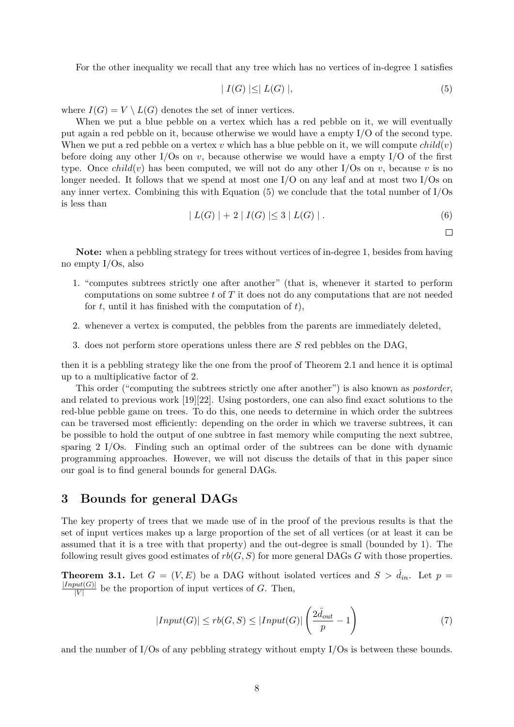For the other inequality we recall that any tree which has no vertices of in-degree 1 satisfies

$$
|I(G)| \leq |L(G)|,\tag{5}
$$

where  $I(G) = V \setminus L(G)$  denotes the set of inner vertices.

When we put a blue pebble on a vertex which has a red pebble on it, we will eventually put again a red pebble on it, because otherwise we would have a empty I/O of the second type. When we put a red pebble on a vertex  $v$  which has a blue pebble on it, we will compute  $child(v)$ before doing any other  $I/Os$  on *v*, because otherwise we would have a empty  $I/O$  of the first type. Once *child* $(v)$  has been computed, we will not do any other I/Os on *v*, because *v* is no longer needed. It follows that we spend at most one I/O on any leaf and at most two I/Os on any inner vertex. Combining this with Equation  $(5)$  we conclude that the total number of I/Os is less than

$$
| L(G) | + 2 | I(G) | \le 3 | L(G) | .
$$
 (6)

 $\Box$ 

**Note:** when a pebbling strategy for trees without vertices of in-degree 1, besides from having no empty I/Os, also

- 1. "computes subtrees strictly one after another" (that is, whenever it started to perform computations on some subtree *t* of *T* it does not do any computations that are not needed for *t*, until it has finished with the computation of *t*),
- 2. whenever a vertex is computed, the pebbles from the parents are immediately deleted,
- 3. does not perform store operations unless there are *S* red pebbles on the DAG,

then it is a pebbling strategy like the one from the proof of Theorem 2.1 and hence it is optimal up to a multiplicative factor of 2.

This order ("computing the subtrees strictly one after another") is also known as *postorder*, and related to previous work [19][22]. Using postorders, one can also find exact solutions to the red-blue pebble game on trees. To do this, one needs to determine in which order the subtrees can be traversed most efficiently: depending on the order in which we traverse subtrees, it can be possible to hold the output of one subtree in fast memory while computing the next subtree, sparing 2 I/Os. Finding such an optimal order of the subtrees can be done with dynamic programming approaches. However, we will not discuss the details of that in this paper since our goal is to find general bounds for general DAGs.

### **3 Bounds for general DAGs**

The key property of trees that we made use of in the proof of the previous results is that the set of input vertices makes up a large proportion of the set of all vertices (or at least it can be assumed that it is a tree with that property) and the out-degree is small (bounded by 1). The following result gives good estimates of  $rb(G, S)$  for more general DAGs *G* with those properties.

**Theorem 3.1.** Let  $G = (V, E)$  be a DAG without isolated vertices and  $S > d_{in}$ . Let  $p =$ *|Input*(*G*)*|*  $\frac{|\mathcal{V}|}{|V|}$  be the proportion of input vertices of *G*. Then,

$$
|Input(G)| \le rb(G, S) \le |Input(G)| \left(\frac{2\hat{d}_{out}}{p} - 1\right) \tag{7}
$$

and the number of  $I/Os$  of any pebbling strategy without empty  $I/Os$  is between these bounds.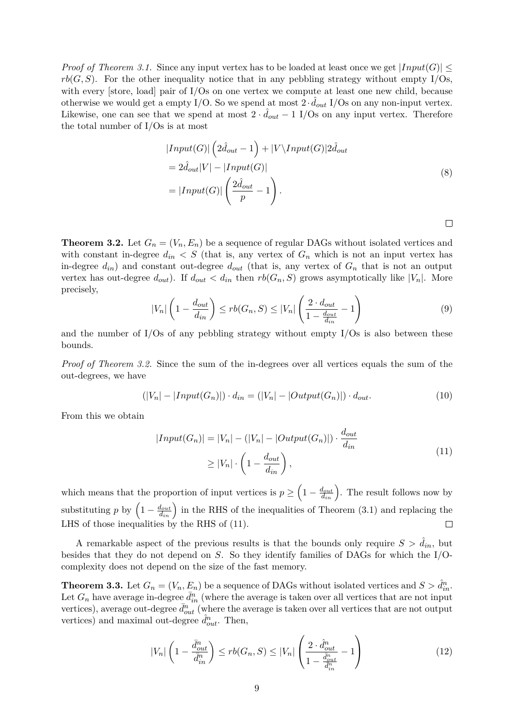*Proof of Theorem 3.1.* Since any input vertex has to be loaded at least once we get  $|Input(G)| \le$  $rb(G, S)$ . For the other inequality notice that in any pebbling strategy without empty I/Os, with every [store, load] pair of I/Os on one vertex we compute at least one new child, because otherwise we would get a empty I/O. So we spend at most  $2 \cdot \hat{d}_{out}$  I/Os on any non-input vertex. Likewise, one can see that we spend at most  $2 \cdot \hat{d}_{out} - 1$  I/Os on any input vertex. Therefore the total number of I/Os is at most

$$
|Input(G)| \left( 2\hat{d}_{out} - 1 \right) + |V \setminus Input(G)| 2\hat{d}_{out}
$$
  
=  $2\hat{d}_{out}|V| - |Input(G)|$   
=  $|Input(G)| \left( \frac{2\hat{d}_{out}}{p} - 1 \right).$  (8)

 $\Box$ 

**Theorem 3.2.** Let  $G_n = (V_n, E_n)$  be a sequence of regular DAGs without isolated vertices and with constant in-degree  $d_{in} < S$  (that is, any vertex of  $G_n$  which is not an input vertex has in-degree  $d_{in}$ ) and constant out-degree  $d_{out}$  (that is, any vertex of  $G_n$  that is not an output vertex has out-degree  $d_{out}$ ). If  $d_{out} < d_{in}$  then  $rb(G_n, S)$  grows asymptotically like  $|V_n|$ . More precisely,

$$
|V_n| \left(1 - \frac{d_{out}}{d_{in}}\right) \le r b(G_n, S) \le |V_n| \left(\frac{2 \cdot d_{out}}{1 - \frac{d_{out}}{d_{in}}} - 1\right) \tag{9}
$$

and the number of  $I/Os$  of any pebbling strategy without empty  $I/Os$  is also between these bounds.

*Proof of Theorem 3.2.* Since the sum of the in-degrees over all vertices equals the sum of the out-degrees, we have

$$
(|V_n| - |Input(G_n)|) \cdot d_{in} = (|V_n| - |Output(G_n)|) \cdot d_{out}. \tag{10}
$$

From this we obtain

$$
|Input(G_n)| = |V_n| - (|V_n| - |Output(G_n)|) \cdot \frac{d_{out}}{d_{in}} \ge |V_n| \cdot \left(1 - \frac{d_{out}}{d_{in}}\right),
$$
\n
$$
(11)
$$

which means that the proportion of input vertices is  $p \geq \left(1 - \frac{d_{out}}{d_{in}}\right)$ . The result follows now by substituting *p* by  $\left(1 - \frac{d_{out}}{d_{in}}\right)$  in the RHS of the inequalities of Theorem (3.1) and replacing the LHS of those inequalities by the RHS of (11).  $\Box$ 

A remarkable aspect of the previous results is that the bounds only require  $S > \hat{d}_{in}$ , but besides that they do not depend on *S*. So they identify families of DAGs for which the I/Ocomplexity does not depend on the size of the fast memory.

**Theorem 3.3.** Let  $G_n = (V_n, E_n)$  be a sequence of DAGs without isolated vertices and  $S > \hat{d}_{in}^n$ . Let  $G_n$  have average in-degree  $\bar{d}^n_{in}$  (where the average is taken over all vertices that are not input vertices), average out-degree  $\bar{d}_{out}^n$  (where the average is taken over all vertices that are not output vertices) and maximal out-degree  $\hat{d}_{out}^n$ . Then,

$$
|V_n| \left(1 - \frac{\bar{d}_{out}^n}{\bar{d}_{in}^n}\right) \le r b(G_n, S) \le |V_n| \left(\frac{2 \cdot \hat{d}_{out}^n}{1 - \frac{\bar{d}_{out}^n}{\bar{d}_{in}^n}} - 1\right) \tag{12}
$$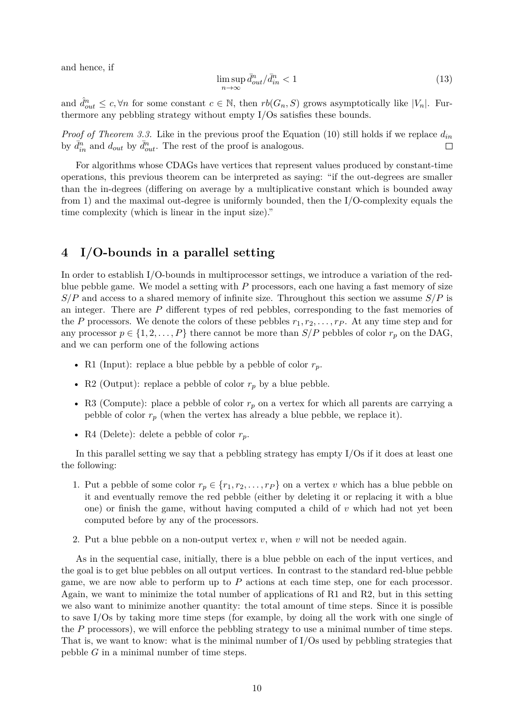and hence, if

$$
\limsup_{n \to \infty} \bar{d}_{out}^n / \bar{d}_{in}^n < 1 \tag{13}
$$

and  $\hat{d}_{out}^n \leq c, \forall n$  for some constant  $c \in \mathbb{N}$ , then  $rb(G_n, S)$  grows asymptotically like  $|V_n|$ . Furthermore any pebbling strategy without empty I/Os satisfies these bounds.

*Proof of Theorem 3.3.* Like in the previous proof the Equation (10) still holds if we replace *din* by  $\bar{d}_{in}^n$  and  $d_{out}$  by  $\bar{d}_{out}^n$ . The rest of the proof is analogous. П

For algorithms whose CDAGs have vertices that represent values produced by constant-time operations, this previous theorem can be interpreted as saying: "if the out-degrees are smaller than the in-degrees (differing on average by a multiplicative constant which is bounded away from 1) and the maximal out-degree is uniformly bounded, then the I/O-complexity equals the time complexity (which is linear in the input size)."

### **4 I/O-bounds in a parallel setting**

In order to establish I/O-bounds in multiprocessor settings, we introduce a variation of the redblue pebble game. We model a setting with *P* processors, each one having a fast memory of size *S/P* and access to a shared memory of infinite size. Throughout this section we assume *S/P* is an integer. There are *P* different types of red pebbles, corresponding to the fast memories of the *P* processors. We denote the colors of these pebbles  $r_1, r_2, \ldots, r_P$ . At any time step and for any processor  $p \in \{1, 2, \ldots, P\}$  there cannot be more than  $S/P$  pebbles of color  $r_p$  on the DAG, and we can perform one of the following actions

- R1 (Input): replace a blue pebble by a pebble of color  $r_p$ .
- R2 (Output): replace a pebble of color  $r_p$  by a blue pebble.
- R3 (Compute): place a pebble of color  $r_p$  on a vertex for which all parents are carrying a pebble of color  $r_p$  (when the vertex has already a blue pebble, we replace it).
- R4 (Delete): delete a pebble of color  $r_p$ .

In this parallel setting we say that a pebbling strategy has empty  $I/Os$  if it does at least one the following:

- 1. Put a pebble of some color  $r_p \in \{r_1, r_2, \ldots, r_P\}$  on a vertex *v* which has a blue pebble on it and eventually remove the red pebble (either by deleting it or replacing it with a blue one) or finish the game, without having computed a child of *v* which had not yet been computed before by any of the processors.
- 2. Put a blue pebble on a non-output vertex *v*, when *v* will not be needed again.

As in the sequential case, initially, there is a blue pebble on each of the input vertices, and the goal is to get blue pebbles on all output vertices. In contrast to the standard red-blue pebble game, we are now able to perform up to *P* actions at each time step, one for each processor. Again, we want to minimize the total number of applications of R1 and R2, but in this setting we also want to minimize another quantity: the total amount of time steps. Since it is possible to save I/Os by taking more time steps (for example, by doing all the work with one single of the *P* processors), we will enforce the pebbling strategy to use a minimal number of time steps. That is, we want to know: what is the minimal number of  $I/Os$  used by pebbling strategies that pebble *G* in a minimal number of time steps.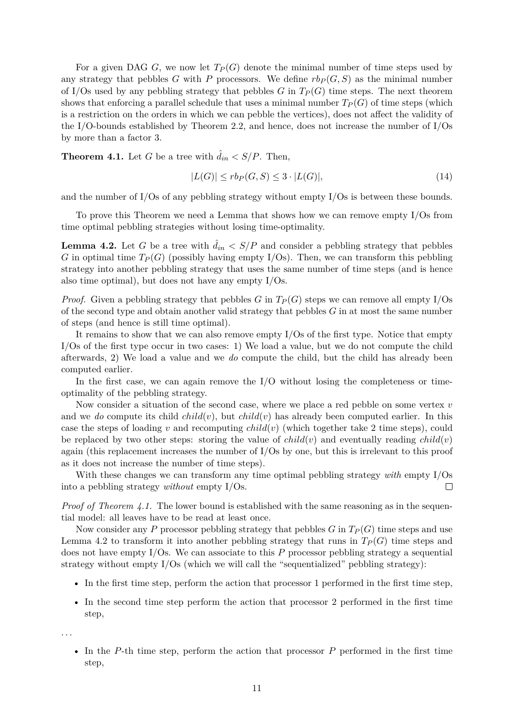For a given DAG *G*, we now let  $T_P(G)$  denote the minimal number of time steps used by any strategy that pebbles *G* with *P* processors. We define  $rbp(G, S)$  as the minimal number of I/Os used by any pebbling strategy that pebbles  $G$  in  $T_P(G)$  time steps. The next theorem shows that enforcing a parallel schedule that uses a minimal number  $T_P(G)$  of time steps (which is a restriction on the orders in which we can pebble the vertices), does not affect the validity of the I/O-bounds established by Theorem 2.2, and hence, does not increase the number of I/Os by more than a factor 3.

**Theorem 4.1.** Let *G* be a tree with  $\hat{d}_{in} < S/P$ . Then,

$$
|L(G)| \le rb_P(G, S) \le 3 \cdot |L(G)|,\tag{14}
$$

and the number of I/Os of any pebbling strategy without empty I/Os is between these bounds.

To prove this Theorem we need a Lemma that shows how we can remove empty I/Os from time optimal pebbling strategies without losing time-optimality.

**Lemma 4.2.** Let *G* be a tree with  $\hat{d}_{in} < S/P$  and consider a pebbling strategy that pebbles *G* in optimal time  $T_P(G)$  (possibly having empty I/Os). Then, we can transform this pebbling strategy into another pebbling strategy that uses the same number of time steps (and is hence also time optimal), but does not have any empty I/Os.

*Proof.* Given a pebbling strategy that pebbles *G* in  $T_P(G)$  steps we can remove all empty I/Os of the second type and obtain another valid strategy that pebbles *G* in at most the same number of steps (and hence is still time optimal).

It remains to show that we can also remove empty I/Os of the first type. Notice that empty I/Os of the first type occur in two cases: 1) We load a value, but we do not compute the child afterwards, 2) We load a value and we *do* compute the child, but the child has already been computed earlier.

In the first case, we can again remove the I/O without losing the completeness or timeoptimality of the pebbling strategy.

Now consider a situation of the second case, where we place a red pebble on some vertex *v* and we *do* compute its child *child*(*v*), but *child*(*v*) has already been computed earlier. In this case the steps of loading *v* and recomputing  $child(v)$  (which together take 2 time steps), could be replaced by two other steps: storing the value of  $child(v)$  and eventually reading  $child(v)$ again (this replacement increases the number of I/Os by one, but this is irrelevant to this proof as it does not increase the number of time steps).

With these changes we can transform any time optimal pebbling strategy *with* empty I/Os into a pebbling strategy *without* empty I/Os.  $\Box$ 

*Proof of Theorem 4.1.* The lower bound is established with the same reasoning as in the sequential model: all leaves have to be read at least once.

Now consider any *P* processor pebbling strategy that pebbles *G* in *T<sup>P</sup>* (*G*) time steps and use Lemma 4.2 to transform it into another pebbling strategy that runs in  $T_P(G)$  time steps and does not have empty I/Os. We can associate to this *P* processor pebbling strategy a sequential strategy without empty I/Os (which we will call the "sequentialized" pebbling strategy):

- In the first time step, perform the action that processor 1 performed in the first time step,
- In the second time step perform the action that processor 2 performed in the first time step,

*. . .*

<sup>•</sup> In the *P*-th time step, perform the action that processor *P* performed in the first time step,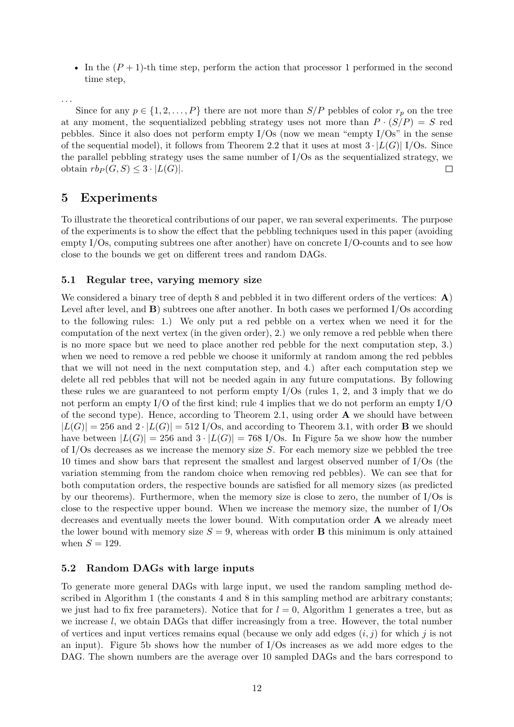• In the  $(P + 1)$ -th time step, perform the action that processor 1 performed in the second time step,

*. . .*

Since for any  $p \in \{1, 2, \ldots, P\}$  there are not more than  $S/P$  pebbles of color  $r_p$  on the tree at any moment, the sequentialized pebbling strategy uses not more than  $P \cdot (S/P) = S$  red pebbles. Since it also does not perform empty I/Os (now we mean "empty I/Os" in the sense of the sequential model), it follows from Theorem 2.2 that it uses at most  $3 \cdot |L(G)|$  I/Os. Since the parallel pebbling strategy uses the same number of I/Os as the sequentialized strategy, we obtain  $rb_P(G, S) \leq 3 \cdot |L(G)|$ .  $\Box$ 

# **5 Experiments**

To illustrate the theoretical contributions of our paper, we ran several experiments. The purpose of the experiments is to show the effect that the pebbling techniques used in this paper (avoiding empty  $I/Os$ , computing subtrees one after another) have on concrete  $I/O$ -counts and to see how close to the bounds we get on different trees and random DAGs.

### **5.1 Regular tree, varying memory size**

We considered a binary tree of depth 8 and pebbled it in two different orders of the vertices: **A**) Level after level, and  $\bf{B}$ ) subtrees one after another. In both cases we performed I/Os according to the following rules: 1.) We only put a red pebble on a vertex when we need it for the computation of the next vertex (in the given order), 2.) we only remove a red pebble when there is no more space but we need to place another red pebble for the next computation step, 3.) when we need to remove a red pebble we choose it uniformly at random among the red pebbles that we will not need in the next computation step, and 4.) after each computation step we delete all red pebbles that will not be needed again in any future computations. By following these rules we are guaranteed to not perform empty I/Os (rules 1, 2, and 3 imply that we do not perform an empty I/O of the first kind; rule 4 implies that we do not perform an empty I/O of the second type). Hence, according to Theorem 2.1, using order **A** we should have between  $|L(G)| = 256$  and  $2 \cdot |L(G)| = 512$  I/Os, and according to Theorem 3.1, with order **B** we should have between  $|L(G)| = 256$  and  $3 \cdot |L(G)| = 768$  I/Os. In Figure 5a we show how the number of I/Os decreases as we increase the memory size *S*. For each memory size we pebbled the tree 10 times and show bars that represent the smallest and largest observed number of I/Os (the variation stemming from the random choice when removing red pebbles). We can see that for both computation orders, the respective bounds are satisfied for all memory sizes (as predicted by our theorems). Furthermore, when the memory size is close to zero, the number of I/Os is close to the respective upper bound. When we increase the memory size, the number of  $I/Os$ decreases and eventually meets the lower bound. With computation order **A** we already meet the lower bound with memory size  $S = 9$ , whereas with order **B** this minimum is only attained when  $S = 129$ .

### **5.2 Random DAGs with large inputs**

To generate more general DAGs with large input, we used the random sampling method described in Algorithm 1 (the constants 4 and 8 in this sampling method are arbitrary constants; we just had to fix free parameters). Notice that for  $l = 0$ , Algorithm 1 generates a tree, but as we increase *l*, we obtain DAGs that differ increasingly from a tree. However, the total number of vertices and input vertices remains equal (because we only add edges  $(i, j)$  for which  $j$  is not an input). Figure 5b shows how the number of  $I/Os$  increases as we add more edges to the DAG. The shown numbers are the average over 10 sampled DAGs and the bars correspond to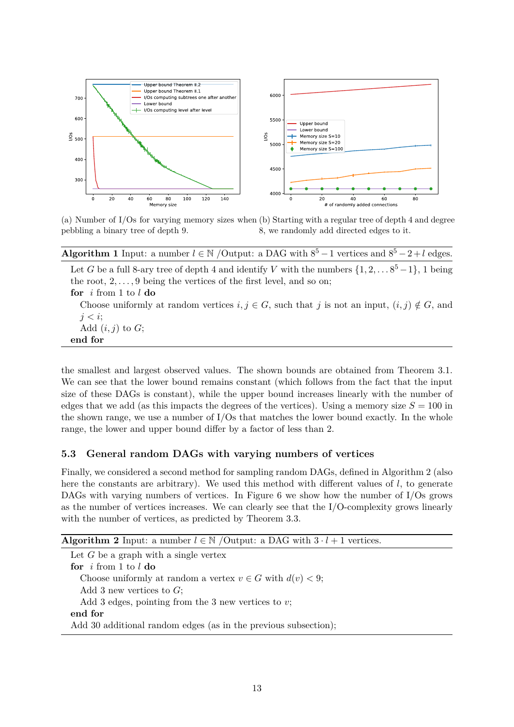

(a) Number of I/Os for varying memory sizes when (b) Starting with a regular tree of depth 4 and degree pebbling a binary tree of depth 9. 8, we randomly add directed edges to it.

| <b>Algorithm 1</b> Input: a number $l \in \mathbb{N}$ /Output: a DAG with $8^5 - 1$ vertices and $8^5 - 2 + l$ edges. |
|-----------------------------------------------------------------------------------------------------------------------|
| Let G be a full 8-ary tree of depth 4 and identify V with the numbers $\{1, 2, \ldots 8^5 - 1\}$ , 1 being            |
| the root, $2, \ldots, 9$ being the vertices of the first level, and so on;                                            |
| for $i$ from 1 to $l$ do                                                                                              |
| Choose uniformly at random vertices $i, j \in G$ , such that j is not an input, $(i, j) \notin G$ , and               |
| i < i                                                                                                                 |
| Add $(i, j)$ to $G$ ;                                                                                                 |
| end for                                                                                                               |

the smallest and largest observed values. The shown bounds are obtained from Theorem 3.1. We can see that the lower bound remains constant (which follows from the fact that the input size of these DAGs is constant), while the upper bound increases linearly with the number of edges that we add (as this impacts the degrees of the vertices). Using a memory size  $S = 100$  in the shown range, we use a number of I/Os that matches the lower bound exactly. In the whole range, the lower and upper bound differ by a factor of less than 2.

### **5.3 General random DAGs with varying numbers of vertices**

Finally, we considered a second method for sampling random DAGs, defined in Algorithm 2 (also here the constants are arbitrary). We used this method with different values of *l*, to generate DAGs with varying numbers of vertices. In Figure 6 we show how the number of I/Os grows as the number of vertices increases. We can clearly see that the I/O-complexity grows linearly with the number of vertices, as predicted by Theorem 3.3.

| <b>Algorithm 2</b> Input: a number $l \in \mathbb{N}$ /Output: a DAG with $3 \cdot l + 1$ vertices. |  |
|-----------------------------------------------------------------------------------------------------|--|
| Let $G$ be a graph with a single vertex                                                             |  |
| for $i$ from 1 to $l$ do                                                                            |  |
| Choose uniformly at random a vertex $v \in G$ with $d(v) < 9$ ;                                     |  |
| Add 3 new vertices to $G$ ;                                                                         |  |
| Add 3 edges, pointing from the 3 new vertices to $v$ ;                                              |  |
| end for                                                                                             |  |
| Add 30 additional random edges (as in the previous subsection);                                     |  |
|                                                                                                     |  |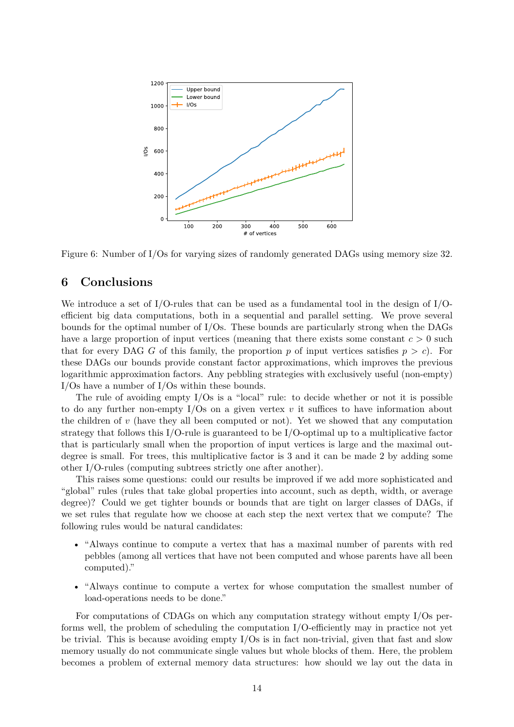

Figure 6: Number of I/Os for varying sizes of randomly generated DAGs using memory size 32.

# **6 Conclusions**

We introduce a set of I/O-rules that can be used as a fundamental tool in the design of I/Oefficient big data computations, both in a sequential and parallel setting. We prove several bounds for the optimal number of I/Os. These bounds are particularly strong when the DAGs have a large proportion of input vertices (meaning that there exists some constant *c >* 0 such that for every DAG *G* of this family, the proportion *p* of input vertices satisfies  $p > c$ ). For these DAGs our bounds provide constant factor approximations, which improves the previous logarithmic approximation factors. Any pebbling strategies with exclusively useful (non-empty) I/Os have a number of I/Os within these bounds.

The rule of avoiding empty I/Os is a "local" rule: to decide whether or not it is possible to do any further non-empty I/Os on a given vertex *v* it suffices to have information about the children of *v* (have they all been computed or not). Yet we showed that any computation strategy that follows this I/O-rule is guaranteed to be I/O-optimal up to a multiplicative factor that is particularly small when the proportion of input vertices is large and the maximal outdegree is small. For trees, this multiplicative factor is 3 and it can be made 2 by adding some other I/O-rules (computing subtrees strictly one after another).

This raises some questions: could our results be improved if we add more sophisticated and "global" rules (rules that take global properties into account, such as depth, width, or average degree)? Could we get tighter bounds or bounds that are tight on larger classes of DAGs, if we set rules that regulate how we choose at each step the next vertex that we compute? The following rules would be natural candidates:

- "Always continue to compute a vertex that has a maximal number of parents with red pebbles (among all vertices that have not been computed and whose parents have all been computed)."
- "Always continue to compute a vertex for whose computation the smallest number of load-operations needs to be done."

For computations of CDAGs on which any computation strategy without empty I/Os performs well, the problem of scheduling the computation I/O-efficiently may in practice not yet be trivial. This is because avoiding empty  $I/Os$  is in fact non-trivial, given that fast and slow memory usually do not communicate single values but whole blocks of them. Here, the problem becomes a problem of external memory data structures: how should we lay out the data in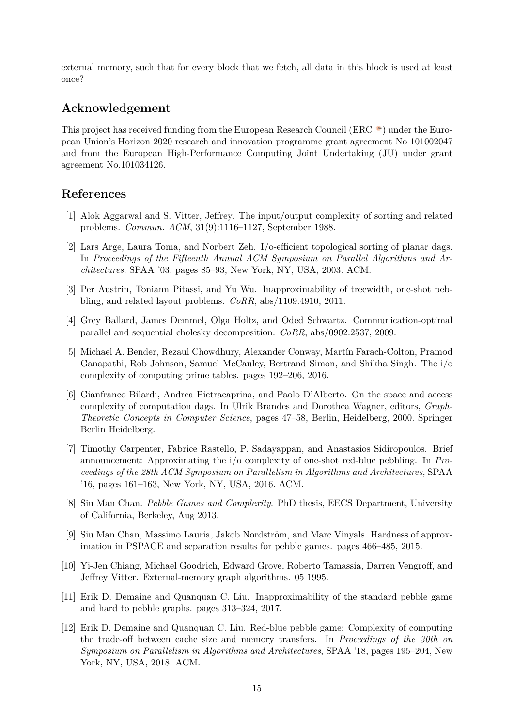external memory, such that for every block that we fetch, all data in this block is used at least once?

# **Acknowledgement**

This project has received funding from the European Research Council (ERC  $\triangle$ ) under the European Union's Horizon 2020 research and innovation programme grant agreement No 101002047 and from the European High-Performance Computing Joint Undertaking (JU) under grant agreement No.101034126.

### **References**

- [1] Alok Aggarwal and S. Vitter, Jeffrey. The input/output complexity of sorting and related problems. *Commun. ACM*, 31(9):1116–1127, September 1988.
- [2] Lars Arge, Laura Toma, and Norbert Zeh. I/o-efficient topological sorting of planar dags. In *Proceedings of the Fifteenth Annual ACM Symposium on Parallel Algorithms and Architectures*, SPAA '03, pages 85–93, New York, NY, USA, 2003. ACM.
- [3] Per Austrin, Toniann Pitassi, and Yu Wu. Inapproximability of treewidth, one-shot pebbling, and related layout problems. *CoRR*, abs/1109.4910, 2011.
- [4] Grey Ballard, James Demmel, Olga Holtz, and Oded Schwartz. Communication-optimal parallel and sequential cholesky decomposition. *CoRR*, abs/0902.2537, 2009.
- [5] Michael A. Bender, Rezaul Chowdhury, Alexander Conway, Martín Farach-Colton, Pramod Ganapathi, Rob Johnson, Samuel McCauley, Bertrand Simon, and Shikha Singh. The i/o complexity of computing prime tables. pages 192–206, 2016.
- [6] Gianfranco Bilardi, Andrea Pietracaprina, and Paolo D'Alberto. On the space and access complexity of computation dags. In Ulrik Brandes and Dorothea Wagner, editors, *Graph-Theoretic Concepts in Computer Science*, pages 47–58, Berlin, Heidelberg, 2000. Springer Berlin Heidelberg.
- [7] Timothy Carpenter, Fabrice Rastello, P. Sadayappan, and Anastasios Sidiropoulos. Brief announcement: Approximating the i/o complexity of one-shot red-blue pebbling. In *Proceedings of the 28th ACM Symposium on Parallelism in Algorithms and Architectures*, SPAA '16, pages 161–163, New York, NY, USA, 2016. ACM.
- [8] Siu Man Chan. *Pebble Games and Complexity*. PhD thesis, EECS Department, University of California, Berkeley, Aug 2013.
- [9] Siu Man Chan, Massimo Lauria, Jakob Nordström, and Marc Vinyals. Hardness of approximation in PSPACE and separation results for pebble games. pages 466–485, 2015.
- [10] Yi-Jen Chiang, Michael Goodrich, Edward Grove, Roberto Tamassia, Darren Vengroff, and Jeffrey Vitter. External-memory graph algorithms. 05 1995.
- [11] Erik D. Demaine and Quanquan C. Liu. Inapproximability of the standard pebble game and hard to pebble graphs. pages 313–324, 2017.
- [12] Erik D. Demaine and Quanquan C. Liu. Red-blue pebble game: Complexity of computing the trade-off between cache size and memory transfers. In *Proceedings of the 30th on Symposium on Parallelism in Algorithms and Architectures*, SPAA '18, pages 195–204, New York, NY, USA, 2018. ACM.